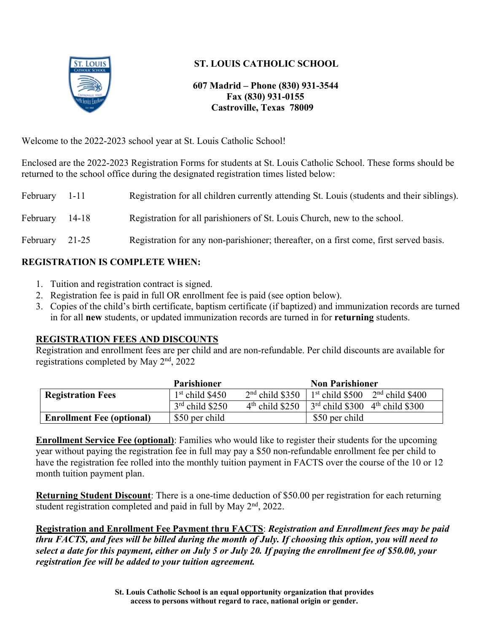

## **ST. LOUIS CATHOLIC SCHOOL**

### **607 Madrid – Phone (830) 931-3544 Fax (830) 931-0155 Castroville, Texas 78009**

Welcome to the 2022-2023 school year at St. Louis Catholic School!

Enclosed are the 2022-2023 Registration Forms for students at St. Louis Catholic School. These forms should be returned to the school office during the designated registration times listed below:

| February 1-11  | Registration for all children currently attending St. Louis (students and their siblings). |
|----------------|--------------------------------------------------------------------------------------------|
| February 14-18 | Registration for all parishioners of St. Louis Church, new to the school.                  |
| February 21-25 | Registration for any non-parishioner; thereafter, on a first come, first served basis.     |

### **REGISTRATION IS COMPLETE WHEN:**

- 1. Tuition and registration contract is signed.
- 2. Registration fee is paid in full OR enrollment fee is paid (see option below).
- 3. Copies of the child's birth certificate, baptism certificate (if baptized) and immunization records are turned in for all **new** students, or updated immunization records are turned in for **returning** students.

### **REGISTRATION FEES AND DISCOUNTS**

Registration and enrollment fees are per child and are non-refundable. Per child discounts are available for registrations completed by May 2nd, 2022

|                                  | <b>Parishioner</b> |                   | <b>Non Parishioner</b>                        |
|----------------------------------|--------------------|-------------------|-----------------------------------------------|
| <b>Registration Fees</b>         | $1st$ child \$450  | $2nd$ child \$350 | $1st$ child \$500 $2nd$ child \$400           |
|                                  | $3rd$ child \$250  | $4th$ child \$250 | $3rd$ child \$300 4 <sup>th</sup> child \$300 |
| <b>Enrollment Fee (optional)</b> | \$50 per child     |                   | \$50 per child                                |

**Enrollment Service Fee (optional)**: Families who would like to register their students for the upcoming year without paying the registration fee in full may pay a \$50 non-refundable enrollment fee per child to have the registration fee rolled into the monthly tuition payment in FACTS over the course of the 10 or 12 month tuition payment plan.

**Returning Student Discount**: There is a one-time deduction of \$50.00 per registration for each returning student registration completed and paid in full by May 2<sup>nd</sup>, 2022.

**Registration and Enrollment Fee Payment thru FACTS**: *Registration and Enrollment fees may be paid thru FACTS, and fees will be billed during the month of July. If choosing this option, you will need to select a date for this payment, either on July 5 or July 20. If paying the enrollment fee of \$50.00, your registration fee will be added to your tuition agreement.*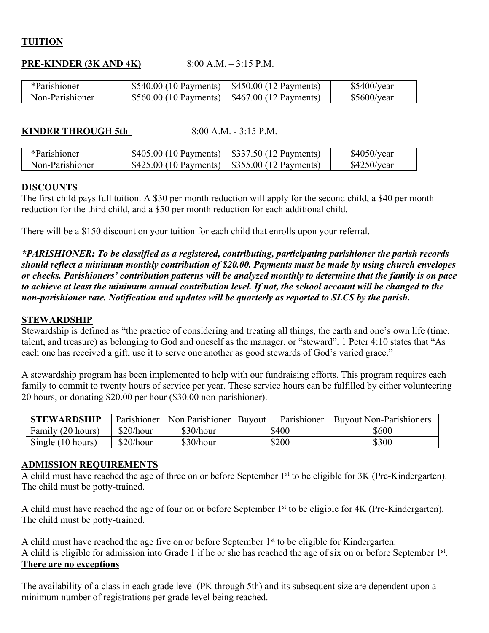### **TUITION**

### **PRE-KINDER (3K AND 4K)** 8:00 A.M. – 3:15 P.M.

| *Parishioner    | $$540.00(10$ Payments)  | $\pm$ \$450.00 (12 Payments)         | \$5400/year |
|-----------------|-------------------------|--------------------------------------|-------------|
| Non-Parishioner | $$560.00 (10$ Payments) | $\frac{1}{2}$ \$467.00 (12 Payments) | \$5600/year |

### **KINDER THROUGH 5th** 8:00 A.M. - 3:15 P.M.

| *Parishioner    | $$405.00(10$ Payments)                                      | $\frac{1}{2}$ \$337.50 (12 Payments) | \$4050/year |
|-----------------|-------------------------------------------------------------|--------------------------------------|-------------|
| Non-Parishioner | $$425.00(10~\text{Payments})$ $$355.00(12~\text{Payments})$ |                                      | \$4250/year |

### **DISCOUNTS**

The first child pays full tuition. A \$30 per month reduction will apply for the second child, a \$40 per month reduction for the third child, and a \$50 per month reduction for each additional child.

There will be a \$150 discount on your tuition for each child that enrolls upon your referral.

*\*PARISHIONER: To be classified as a registered, contributing, participating parishioner the parish records should reflect a minimum monthly contribution of \$20.00. Payments must be made by using church envelopes or checks. Parishioners' contribution patterns will be analyzed monthly to determine that the family is on pace*  to achieve at least the minimum annual contribution level. If not, the school account will be changed to the *non-parishioner rate. Notification and updates will be quarterly as reported to SLCS by the parish.*

### **STEWARDSHIP**

Stewardship is defined as "the practice of considering and treating all things, the earth and one's own life (time, talent, and treasure) as belonging to God and oneself as the manager, or "steward". 1 Peter 4:10 states that "As each one has received a gift, use it to serve one another as good stewards of God's varied grace."

A stewardship program has been implemented to help with our fundraising efforts. This program requires each family to commit to twenty hours of service per year. These service hours can be fulfilled by either volunteering 20 hours, or donating \$20.00 per hour (\$30.00 non-parishioner).

| <b>STEWARDSHIP</b> | Parishioner |           | Non Parishioner   Buyout — Parishioner | <b>Buyout Non-Parishioners</b> |
|--------------------|-------------|-----------|----------------------------------------|--------------------------------|
| Family (20 hours)  | \$20/hour   | \$30/hour | \$400                                  | \$600                          |
| Single (10 hours)  | \$20/hour   | \$30/hour | \$200                                  | \$300                          |

### **ADMISSION REQUIREMENTS**

A child must have reached the age of three on or before September 1<sup>st</sup> to be eligible for 3K (Pre-Kindergarten). The child must be potty-trained.

A child must have reached the age of four on or before September 1<sup>st</sup> to be eligible for 4K (Pre-Kindergarten). The child must be potty-trained.

A child must have reached the age five on or before September  $1<sup>st</sup>$  to be eligible for Kindergarten. A child is eligible for admission into Grade 1 if he or she has reached the age of six on or before September 1<sup>st</sup>. **There are no exceptions**

The availability of a class in each grade level (PK through 5th) and its subsequent size are dependent upon a minimum number of registrations per grade level being reached.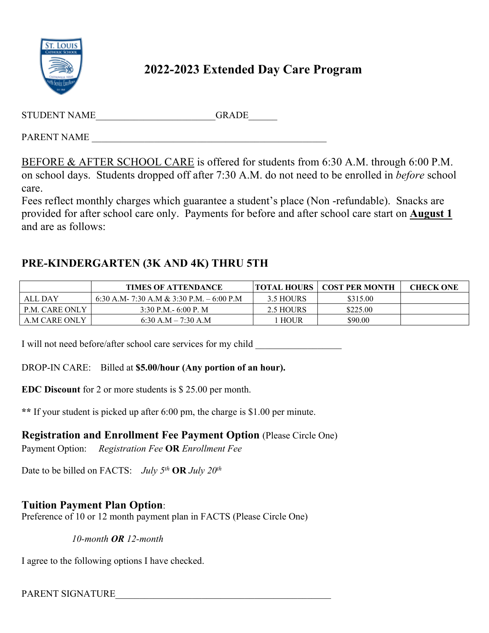

# **2022-2023 Extended Day Care Program**

| STUDENT NAME | <b>GRADE</b> |
|--------------|--------------|
| PARENT NAME  |              |

BEFORE & AFTER SCHOOL CARE is offered for students from 6:30 A.M. through 6:00 P.M. on school days. Students dropped off after 7:30 A.M. do not need to be enrolled in *before* school care.

Fees reflect monthly charges which guarantee a student's place (Non -refundable). Snacks are provided for after school care only. Payments for before and after school care start on **August 1** and are as follows:

# **PRE-KINDERGARTEN (3K AND 4K) THRU 5TH**

|                | <b>TIMES OF ATTENDANCE</b>                 |             | <b>TOTAL HOURS   COST PER MONTH</b> | <b>CHECK ONE</b> |
|----------------|--------------------------------------------|-------------|-------------------------------------|------------------|
| ALL DAY        | 6:30 A.M - 7:30 A.M & 3:30 P.M. – 6:00 P.M | 3.5 HOURS   | \$315.00                            |                  |
| P.M. CARE ONLY | 3:30 P.M. $-6:00$ P.M.                     | 2.5 HOURS   | \$225.00                            |                  |
| A.M CARE ONLY  | 6:30 A.M $- 7:30$ A.M                      | <b>HOUR</b> | \$90.00                             |                  |

I will not need before/after school care services for my child

## DROP-IN CARE: Billed at **\$5.00/hour (Any portion of an hour).**

**EDC Discount** for 2 or more students is \$ 25.00 per month.

**\*\*** If your student is picked up after 6:00 pm, the charge is \$1.00 per minute.

## **Registration and Enrollment Fee Payment Option** (Please Circle One)

Payment Option: *Registration Fee* **OR** *Enrollment Fee*

Date to be billed on FACTS: *July 5th* **OR** *July 20th*

# **Tuition Payment Plan Option**:

Preference of 10 or 12 month payment plan in FACTS (Please Circle One)

*10-month OR 12-month*

I agree to the following options I have checked.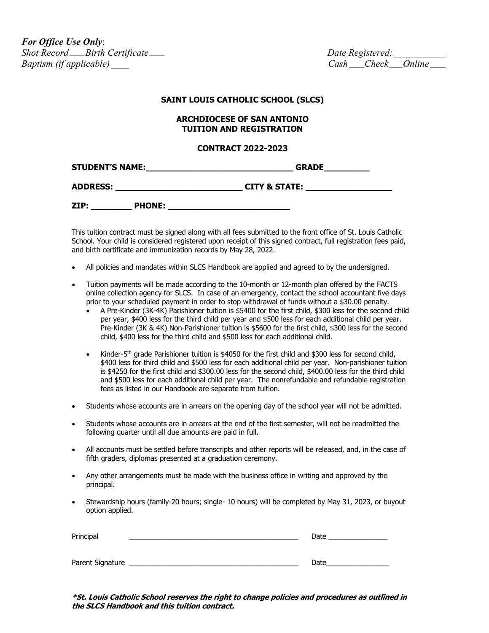*For Office Use Only*:  $Short$  *Record \_\_\_ Birth Certificate \_\_\_ Baptism (if applicable) Cash Check Online*

#### **SAINT LOUIS CATHOLIC SCHOOL (SLCS)**

#### **ARCHDIOCESE OF SAN ANTONIO TUITION AND REGISTRATION**

#### **CONTRACT 2022-2023**

**STUDENT'S NAME:\_\_\_\_\_\_\_\_\_\_\_\_\_\_\_\_\_\_\_\_\_\_\_\_\_\_\_\_\_ GRADE\_\_\_\_\_\_\_\_\_**

**ADDRESS: \_\_\_\_\_\_\_\_\_\_\_\_\_\_\_\_\_\_\_\_\_\_\_\_\_ CITY & STATE: \_\_\_\_\_\_\_\_\_\_\_\_\_\_\_\_\_**

**ZIP: \_\_\_\_\_\_\_\_ PHONE: \_\_\_\_\_\_\_\_\_\_\_\_\_\_\_\_\_\_\_\_\_\_\_\_**

This tuition contract must be signed along with all fees submitted to the front office of St. Louis Catholic School. Your child is considered registered upon receipt of this signed contract, full registration fees paid, and birth certificate and immunization records by May 28, 2022.

- All policies and mandates within SLCS Handbook are applied and agreed to by the undersigned.
- Tuition payments will be made according to the 10-month or 12-month plan offered by the FACTS online collection agency for SLCS. In case of an emergency, contact the school accountant five days prior to your scheduled payment in order to stop withdrawal of funds without a \$30.00 penalty.
	- A Pre-Kinder (3K-4K) Parishioner tuition is \$5400 for the first child, \$300 less for the second child per year, \$400 less for the third child per year and \$500 less for each additional child per year. Pre-Kinder (3K & 4K) Non-Parishioner tuition is \$5600 for the first child, \$300 less for the second child, \$400 less for the third child and \$500 less for each additional child.
	- Kinder-5<sup>th</sup> grade Parishioner tuition is \$4050 for the first child and \$300 less for second child, \$400 less for third child and \$500 less for each additional child per year. Non-parishioner tuition is \$4250 for the first child and \$300.00 less for the second child, \$400.00 less for the third child and \$500 less for each additional child per year. The nonrefundable and refundable registration fees as listed in our Handbook are separate from tuition.
- Students whose accounts are in arrears on the opening day of the school year will not be admitted.
- Students whose accounts are in arrears at the end of the first semester, will not be readmitted the following quarter until all due amounts are paid in full.
- All accounts must be settled before transcripts and other reports will be released, and, in the case of fifth graders, diplomas presented at a graduation ceremony.
- Any other arrangements must be made with the business office in writing and approved by the principal.
- Stewardship hours (family-20 hours; single- 10 hours) will be completed by May 31, 2023, or buyout option applied.

| Principal        | Date |
|------------------|------|
|                  |      |
| Parent Signature | Date |

**\*St. Louis Catholic School reserves the right to change policies and procedures as outlined in the SLCS Handbook and this tuition contract.**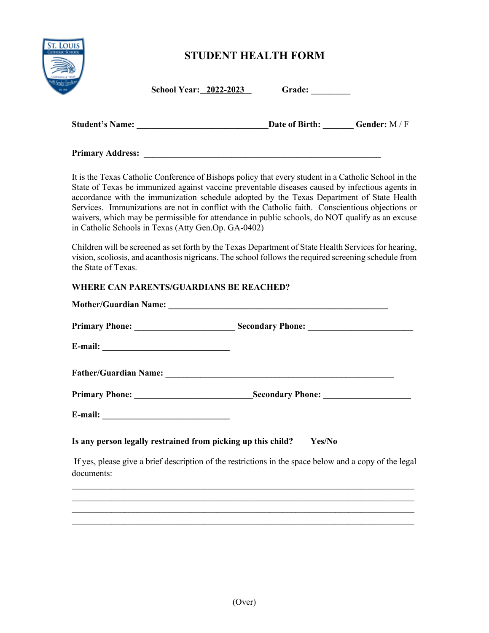

# **STUDENT HEALTH FORM**

**School Year:** 2022-2023 (

| <b>Grade:</b> |  |  |  |
|---------------|--|--|--|
|               |  |  |  |

| <b>Student's Name:</b> | Date of Birth: | <b>Gender:</b> $M/F$ |
|------------------------|----------------|----------------------|
|                        |                |                      |

**Primary Address:** 

It is the Texas Catholic Conference of Bishops policy that every student in a Catholic School in the State of Texas be immunized against vaccine preventable diseases caused by infectious agents in accordance with the immunization schedule adopted by the Texas Department of State Health Services. Immunizations are not in conflict with the Catholic faith. Conscientious objections or waivers, which may be permissible for attendance in public schools, do NOT qualify as an excuse in Catholic Schools in Texas (Atty Gen.Op. GA-0402)

Children will be screened as set forth by the Texas Department of State Health Services for hearing, vision, scoliosis, and acanthosis nigricans. The school follows the required screening schedule from the State of Texas.

### **WHERE CAN PARENTS/GUARDIANS BE REACHED?**

| Is any person legally restrained from picking up this child? Yes/No                                    |
|--------------------------------------------------------------------------------------------------------|
| If yes, please give a brief description of the restrictions in the space below and a copy of the legal |
|                                                                                                        |
|                                                                                                        |

 $\mathcal{L}_\mathcal{L} = \{ \mathcal{L}_\mathcal{L} = \{ \mathcal{L}_\mathcal{L} = \{ \mathcal{L}_\mathcal{L} = \{ \mathcal{L}_\mathcal{L} = \{ \mathcal{L}_\mathcal{L} = \{ \mathcal{L}_\mathcal{L} = \{ \mathcal{L}_\mathcal{L} = \{ \mathcal{L}_\mathcal{L} = \{ \mathcal{L}_\mathcal{L} = \{ \mathcal{L}_\mathcal{L} = \{ \mathcal{L}_\mathcal{L} = \{ \mathcal{L}_\mathcal{L} = \{ \mathcal{L}_\mathcal{L} = \{ \mathcal{L}_\mathcal{$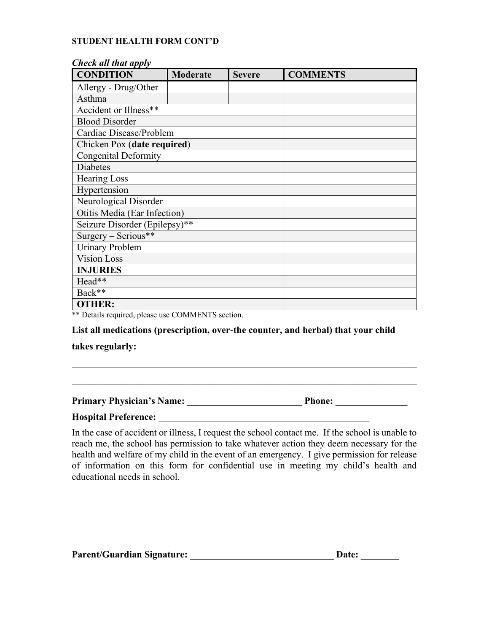### **STUDENT HEALTH FORM CONT'D**

| Check an inut apply<br><b>CONDITION</b> | Moderate | <b>Severe</b> | <b>COMMENTS</b> |  |  |
|-----------------------------------------|----------|---------------|-----------------|--|--|
| Allergy - Drug/Other                    |          |               |                 |  |  |
| Asthma                                  |          |               |                 |  |  |
| Accident or Illness**                   |          |               |                 |  |  |
| <b>Blood Disorder</b>                   |          |               |                 |  |  |
| Cardiac Disease/Problem                 |          |               |                 |  |  |
| Chicken Pox (date required)             |          |               |                 |  |  |
| <b>Congenital Deformity</b>             |          |               |                 |  |  |
| <b>Diabetes</b>                         |          |               |                 |  |  |
| <b>Hearing Loss</b>                     |          |               |                 |  |  |
| Hypertension                            |          |               |                 |  |  |
| Neurological Disorder                   |          |               |                 |  |  |
| Otitis Media (Ear Infection)            |          |               |                 |  |  |
| Seizure Disorder (Epilepsy)**           |          |               |                 |  |  |
| Surgery - Serious**                     |          |               |                 |  |  |
| <b>Urinary Problem</b>                  |          |               |                 |  |  |
| <b>Vision Loss</b>                      |          |               |                 |  |  |
| <b>INJURIES</b>                         |          |               |                 |  |  |
| Head**                                  |          |               |                 |  |  |
| Back**                                  |          |               |                 |  |  |
| <b>OTHER:</b>                           |          |               |                 |  |  |

### *Check all that apply*

\*\* Details required, please use COMMENTS section.

### **List all medications (prescription, over-the counter, and herbal) that your child**

#### **takes regularly:**

**Primary Physician's Name: \_\_\_\_\_\_\_\_\_\_\_\_\_\_\_\_\_\_\_\_\_\_\_\_ Phone: \_\_\_\_\_\_\_\_\_\_\_\_\_\_\_**

### **Hospital Preference:** \_\_\_\_\_\_\_\_\_\_\_\_\_\_\_\_\_\_\_\_\_\_\_\_\_\_\_\_\_\_\_\_\_\_\_\_\_\_\_\_\_\_\_\_

In the case of accident or illness, I request the school contact me. If the school is unable to reach me, the school has permission to take whatever action they deem necessary for the health and welfare of my child in the event of an emergency. I give permission for release of information on this form for confidential use in meeting my child's health and educational needs in school.

 $\mathcal{L}_\text{max} = \mathcal{L}_\text{max} = \mathcal{L}_\text{max} = \mathcal{L}_\text{max} = \mathcal{L}_\text{max} = \mathcal{L}_\text{max} = \mathcal{L}_\text{max} = \mathcal{L}_\text{max} = \mathcal{L}_\text{max} = \mathcal{L}_\text{max} = \mathcal{L}_\text{max} = \mathcal{L}_\text{max} = \mathcal{L}_\text{max} = \mathcal{L}_\text{max} = \mathcal{L}_\text{max} = \mathcal{L}_\text{max} = \mathcal{L}_\text{max} = \mathcal{L}_\text{max} = \mathcal{$ 

| <b>Parent/Guardian Signature:</b> |  | Date: |
|-----------------------------------|--|-------|
|-----------------------------------|--|-------|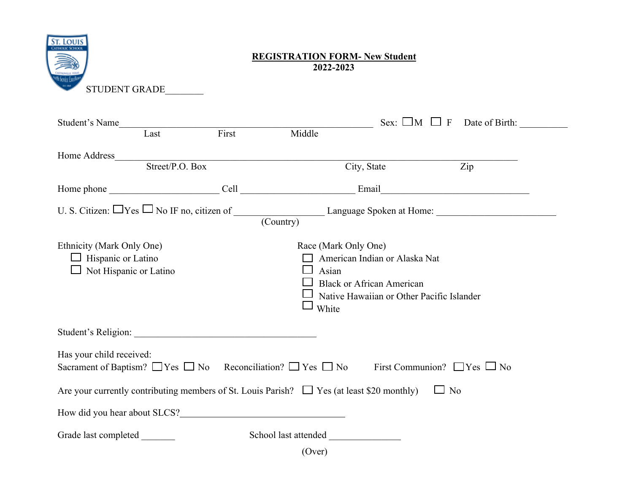

### **REGISTRATION FORM- New Student 2022-2023**

| Student's Name                                         |                        |                 | Sex: $\Box M \Box F$                                                                                                                                     | Date of Birth: |
|--------------------------------------------------------|------------------------|-----------------|----------------------------------------------------------------------------------------------------------------------------------------------------------|----------------|
|                                                        | Last                   | First           | Middle                                                                                                                                                   |                |
| Home Address                                           |                        | Street/P.O. Box |                                                                                                                                                          |                |
|                                                        |                        |                 | Zip<br>City, State                                                                                                                                       |                |
|                                                        |                        |                 |                                                                                                                                                          |                |
|                                                        |                        |                 | U. S. Citizen: $\Box$ Yes $\Box$ No IF no, citizen of $\Box$ Language Spoken at Home: $\Box$                                                             |                |
| Ethnicity (Mark Only One)<br>$\Box$ Hispanic or Latino | Not Hispanic or Latino |                 | Race (Mark Only One)<br>American Indian or Alaska Nat<br>Asian<br><b>Black or African American</b><br>Native Hawaiian or Other Pacific Islander<br>White |                |
|                                                        |                        |                 |                                                                                                                                                          |                |
| Has your child received:                               |                        |                 | Sacrament of Baptism? $\Box$ Yes $\Box$ No Reconciliation? $\Box$ Yes $\Box$ No<br>First Communion? $\Box$ Yes $\Box$ No                                 |                |
|                                                        |                        |                 | Are your currently contributing members of St. Louis Parish? $\Box$ Yes (at least \$20 monthly)<br>$\Box$ No                                             |                |
|                                                        |                        |                 | How did you hear about SLCS?                                                                                                                             |                |
| Grade last completed                                   |                        |                 | School last attended                                                                                                                                     |                |

(Over)